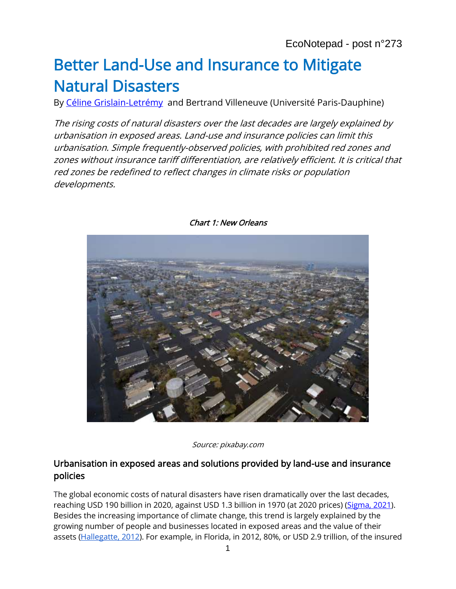# Better Land-Use and Insurance to Mitigate Natural Disasters

By Céline [Grislain-Letrémy](https://www.banque-france.fr/celine-grislain-letremy) and Bertrand Villeneuve (Université Paris-Dauphine)

The rising costs of natural disasters over the last decades are largely explained by urbanisation in exposed areas. Land-use and insurance policies can limit this urbanisation. Simple frequently-observed policies, with prohibited red zones and zones without insurance tariff differentiation, are relatively efficient. It is critical that red zones be redefined to reflect changes in climate risks or population developments.



Chart 1: New Orleans

Source: pixabay.com

#### Urbanisation in exposed areas and solutions provided by land-use and insurance policies

The global economic costs of natural disasters have risen dramatically over the last decades, reaching USD 190 billion in 2020, against USD 1.3 billion in 1970 (at 2020 prices) [\(Sigma, 2021\)](https://www.swissre.com/institute/research/sigma-research/sigma-2021-01.html). Besides the increasing importance of climate change, this trend is largely explained by the growing number of people and businesses located in exposed areas and the value of their assets [\(Hallegatte, 2012\)](https://voxeu.org/article/toward-world-larger-disasters-ideas-risk-management-policies). For example, in Florida, in 2012, 80%, or USD 2.9 trillion, of the insured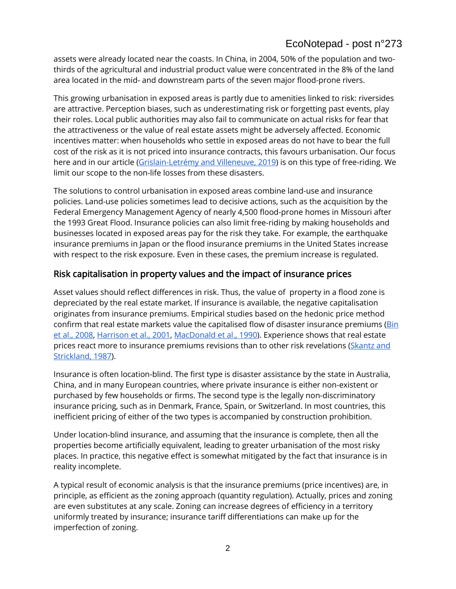# EcoNotepad - post n°273

assets were already located near the coasts. In China, in 2004, 50% of the population and twothirds of the agricultural and industrial product value were concentrated in the 8% of the land area located in the mid- and downstream parts of the seven major flood-prone rivers.

This growing urbanisation in exposed areas is partly due to amenities linked to risk: riversides are attractive. Perception biases, such as underestimating risk or forgetting past events, play their roles. Local public authorities may also fail to communicate on actual risks for fear that the attractiveness or the value of real estate assets might be adversely affected. Economic incentives matter: when households who settle in exposed areas do not have to bear the full cost of the risk as it is not priced into insurance contracts, this favours urbanisation. Our focus here and in our article [\(Grislain-Letrémy and Villeneuve, 2019\)](https://link.springer.com/article/10.1057/s10713-018-0032-0) is on this type of free-riding. We limit our scope to the non-life losses from these disasters.

The solutions to control urbanisation in exposed areas combine land-use and insurance policies. Land-use policies sometimes lead to decisive actions, such as the acquisition by the Federal Emergency Management Agency of nearly 4,500 flood-prone homes in Missouri after the 1993 Great Flood. Insurance policies can also limit free-riding by making households and businesses located in exposed areas pay for the risk they take. For example, the earthquake insurance premiums in Japan or the flood insurance premiums in the United States increase with respect to the risk exposure. Even in these cases, the premium increase is regulated.

#### Risk capitalisation in property values and the impact of insurance prices

Asset values should reflect differences in risk. Thus, the value of property in a flood zone is depreciated by the real estate market. If insurance is available, the negative capitalisation originates from insurance premiums. Empirical studies based on the hedonic price method confirm that real estate markets value the capitalised flow of disaster insurance premiums [\(Bin](https://www.jstor.org/stable/25145263)  [et al., 2008,](https://www.jstor.org/stable/25145263) [Harrison et al](https://www.jstor.org/stable/24887245).[, 2001,](https://www.jstor.org/stable/24887245) [MacDonald et al](https://www.jstor.org/stable/252950).[, 1990\)](https://www.jstor.org/stable/252950). Experience shows that real estate prices react more to insurance premiums revisions than to other risk revelations (Skantz and [Strickland, 1987\)](https://www.jstor.org/stable/44095207).

Insurance is often location-blind. The first type is disaster assistance by the state in Australia, China, and in many European countries, where private insurance is either non-existent or purchased by few households or firms. The second type is the legally non-discriminatory insurance pricing, such as in Denmark, France, Spain, or Switzerland. In most countries, this inefficient pricing of either of the two types is accompanied by construction prohibition.

Under location-blind insurance, and assuming that the insurance is complete, then all the properties become artificially equivalent, leading to greater urbanisation of the most risky places. In practice, this negative effect is somewhat mitigated by the fact that insurance is in reality incomplete.

A typical result of economic analysis is that the insurance premiums (price incentives) are, in principle, as efficient as the zoning approach (quantity regulation). Actually, prices and zoning are even substitutes at any scale. Zoning can increase degrees of efficiency in a territory uniformly treated by insurance; insurance tariff differentiations can make up for the imperfection of zoning.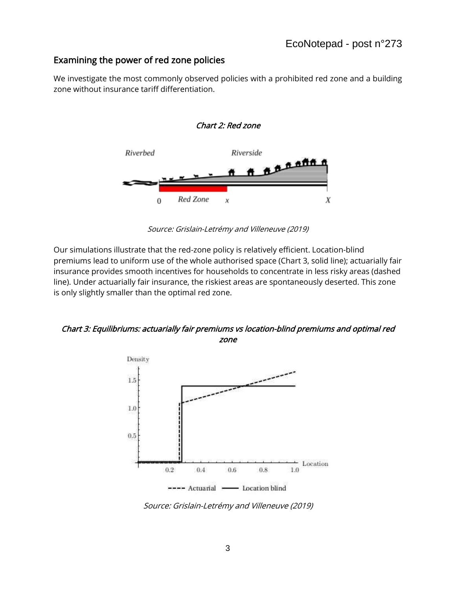## Examining the power of red zone policies

We investigate the most commonly observed policies with a prohibited red zone and a building zone without insurance tariff differentiation.



Source: Grislain-Letrémy and Villeneuve (2019)

Our simulations illustrate that the red-zone policy is relatively efficient. Location-blind premiums lead to uniform use of the whole authorised space (Chart 3, solid line); actuarially fair insurance provides smooth incentives for households to concentrate in less risky areas (dashed line). Under actuarially fair insurance, the riskiest areas are spontaneously deserted. This zone is only slightly smaller than the optimal red zone.

Chart 3: Equilibriums: actuarially fair premiums vs location-blind premiums and optimal red zone



Source: Grislain-Letrémy and Villeneuve (2019)